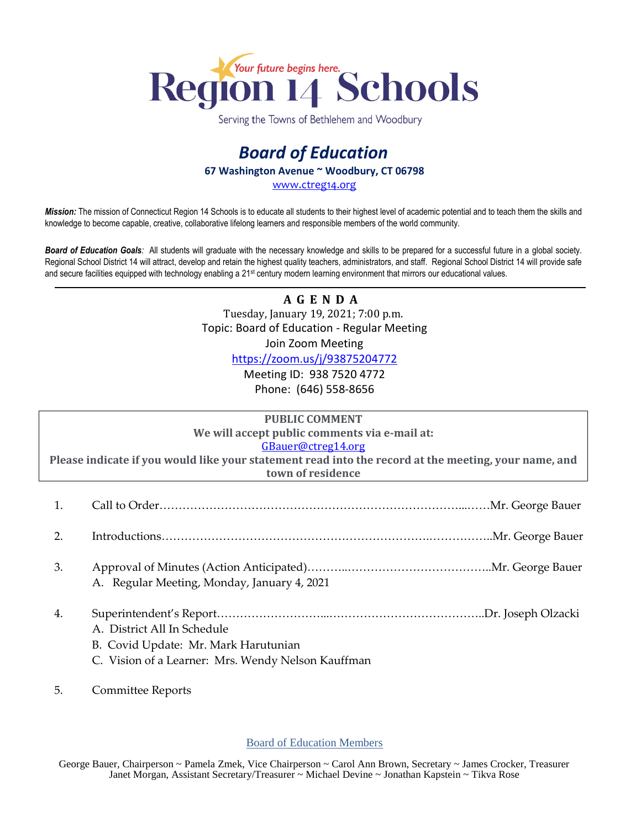

Serving the Towns of Bethlehem and Woodbury

## *Board of Education* **67 Washington Avenue ~ Woodbury, CT 06798**

[www.ctreg14.org](http://www.ctreg14.org/)

*Mission:* The mission of Connecticut Region 14 Schools is to educate all students to their highest level of academic potential and to teach them the skills and knowledge to become capable, creative, collaborative lifelong learners and responsible members of the world community.

*Board of Education Goals:* All students will graduate with the necessary knowledge and skills to be prepared for a successful future in a global society. Regional School District 14 will attract, develop and retain the highest quality teachers, administrators, and staff. Regional School District 14 will provide safe and secure facilities equipped with technology enabling a 21<sup>st</sup> century modern learning environment that mirrors our educational values.

## **A G E N D A** Tuesday, January 19, 2021; 7:00 p.m. Topic: Board of Education - Regular Meeting Join Zoom Meeting

<https://zoom.us/j/93875204772>

Meeting ID: 938 7520 4772 Phone: (646) 558-8656

| <b>PUBLIC COMMENT</b><br>We will accept public comments via e-mail at:<br>GBauer@ctreg14.org<br>Please indicate if you would like your statement read into the record at the meeting, your name, and<br>town of residence |                                                                                                                           |
|---------------------------------------------------------------------------------------------------------------------------------------------------------------------------------------------------------------------------|---------------------------------------------------------------------------------------------------------------------------|
| 1.                                                                                                                                                                                                                        |                                                                                                                           |
| 2.                                                                                                                                                                                                                        |                                                                                                                           |
| 3.                                                                                                                                                                                                                        | A. Regular Meeting, Monday, January 4, 2021                                                                               |
| 4.                                                                                                                                                                                                                        | A. District All In Schedule<br>B. Covid Update: Mr. Mark Harutunian<br>C. Vision of a Learner: Mrs. Wendy Nelson Kauffman |

5. Committee Reports

Board of Education Members

George Bauer, Chairperson ~ Pamela Zmek, Vice Chairperson ~ Carol Ann Brown, Secretary ~ James Crocker, Treasurer Janet Morgan, Assistant Secretary/Treasurer ~ Michael Devine ~ Jonathan Kapstein ~ Tikva Rose